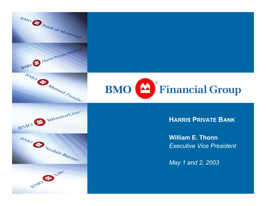

**BMO COLINE** 



### **HARRIS PRIVATE BANK**

**William E. Thonn***Executive Vice President*

*May 1 and 2, 2003*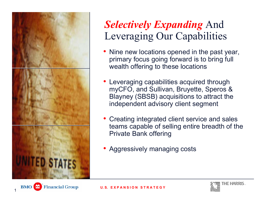

## *Selectively Expanding* And Leveraging Our Capabilities

- •• Nine new locations opened in the past year, primary focus going forward is to bring full wealth offering to these locations
- • Leveraging capabilities acquired through myCFO, and Sullivan, Bruyette, Speros & Blayney (SBSB) acquisitions to attract the independent advisory client segment
- Creating integrated client service and sales teams capable of selling entire breadth of the Private Bank offering
- •Aggressively managing costs

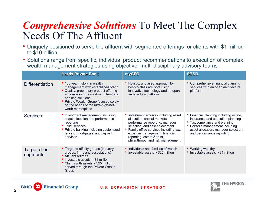### *Comprehensive Solutions* To Meet The Complex Needs Of The Affluent

- Uniquely positioned to serve the affluent with segmented offerings for clients with \$1 million to \$10 billion
- Solutions range from specific, individual product recommendations to execution of complex wealth management strategies using objective, multi-disciplinary advisory teams

|                                  | <b>Harris Private Bank</b>                                                                                                                                                                                                                                                   | <b>myCFO</b>                                                                                                                                                                                                                                                                           | <b>SBSB</b>                                                                                                                                                                                                     |
|----------------------------------|------------------------------------------------------------------------------------------------------------------------------------------------------------------------------------------------------------------------------------------------------------------------------|----------------------------------------------------------------------------------------------------------------------------------------------------------------------------------------------------------------------------------------------------------------------------------------|-----------------------------------------------------------------------------------------------------------------------------------------------------------------------------------------------------------------|
| <b>Differentiation</b>           | • 100 year history in wealth<br>management with established brand<br>• Quality, proprietary product offering<br>encompassing investment, trust and<br>banking solutions<br>• Private Wealth Group focused solely<br>on the needs of the ultra-high-net-<br>worth marketplace | • Holistic, unbiased approach by<br>best-in-class advisors using<br>innovative technology and an open<br>architecture platform                                                                                                                                                         | Comprehensive financial planning<br>services with an open architecture<br>platform                                                                                                                              |
| <b>Services</b>                  | Investment management including<br>asset allocation and performance<br>reporting<br>• Trust services<br>Private banking including customized<br>lending, mortgages, and deposit<br>services                                                                                  | • Investment advisory including asset<br>allocation, capital markets,<br>performance reporting, manager<br>selection, and asset placement<br>Family office services including tax,<br>expense management, financial<br>reporting, estate & trust,<br>philanthropy, and risk management | Financial planning including estate,<br>insurance, and education planning<br>Tax compliance and planning<br>Portfolio management including<br>asset allocation, manager selection,<br>and performance reporting |
| <b>Target client</b><br>segments | • Targeted affinity groups (industry<br>groups, firms and associations)<br>• Affluent retirees<br>• Investable assets > \$1 million<br>Clients with assets > \$25 million<br>served through the Private Wealth<br>Group                                                      | • Individuals and families of wealth<br>• Investable assets > \$25 million                                                                                                                                                                                                             | • Working wealthy<br>• Investable assets > \$1 million                                                                                                                                                          |





#### **U. S. E X P A N S I O N S T R A T E G Y**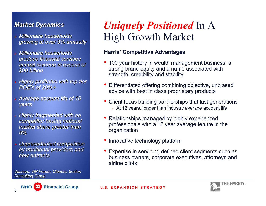### *Market Dynamics Market Dynamics*

- ¾ *Millionaire households Millionaire households growing at over growing at over 9% annually 9% annually*
- ¾ *Millionaire households Millionaire households produce financial services produce financial services annual r annual revenue in excess of venue in excess of \$90 billion \$90 billion*
- ¾ *Highly profitable with top Highly profitable with top -tier ROE's of 20%+ of 20%+*
- ¾ *Average account life of 10 Average account life of 10 years*
- ¾ *Highly fr Highly fragmented with no agmented with no competitor competitor having national having national market share gr market share greater than 5%*
- ¾ *Unprecedented competition Unprecedented competition by traditional providers and by traditional providers and new entr new entrants*

*Sources: VIP Forum, Claritas Claritas, Boston Consulti Consulting Group*

**Financial Group** 

## *Uniquely Positioned* In A High Growth Market

### **Harris' Competitive Advantages**

- 100 year history in wealth management business, a strong brand equity and a name associated with strength, credibility and stability
- • Differentiated offering combining objective, unbiased advice with best in class proprietary products
- Client focus building partnerships that last generations ¾ At 12 years, longer than industry average account life
- • Relationships managed by highly experienced professionals with a 12 year average tenure in the organization
- Innovative technology platform
- • Expertise in servicing defined client segments such as business owners, corporate executives, attorneys and airline pilots



#### **U. S. E X P A N S I O N S T R A T E G Y**

**BMO**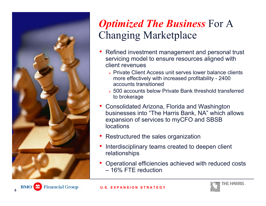

# *Optimized The Business* For A Changing Marketplace

- • Refined investment management and personal trust servicing model to ensure resources aligned with client revenues
	- ¾ Private Client Access unit serves lower balance clients more effectively with increased profitability - 2400 accounts transitioned
	- ¾ 500 accounts below Private Bank threshold transferred to brokerage
- • Consolidated Arizona, Florida and Washington businesses into "The Harris Bank, NA" which allows expansion of services to myCFO and SBSB locations
- Restructured the sales organization
- • Interdisciplinary teams created to deepen client relationships
- • Operational efficiencies achieved with reduced costs – 16% FTE reduction



#### **U. S. E X P A N S I O N S T R A T E G Y**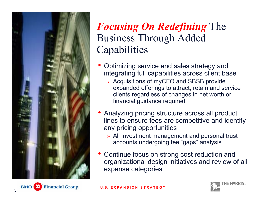

### *Focusing On Redefining* The Business Through Added Capabilities

- Optimizing service and sales strategy and integrating full capabilities across client base
	- ¾ Acquisitions of myCFO and SBSB provide expanded offerings to attract, retain and service clients regardless of changes in net worth or financial guidance required
- Analyzing pricing structure across all product lines to ensure fees are competitive and identify any pricing opportunities
	- ¾ All investment management and personal trust accounts undergoing fee "gaps" analysis
- Continue focus on strong cost reduction and organizational design initiatives and review of all expense categories



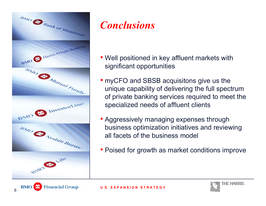

# *Conclusions*

- Well positioned in key affluent markets with significant opportunities
- myCFO and SBSB acquisitons give us the unique capability of delivering the full spectrum of private banking services required to meet the specialized needs of affluent clients
- Aggressively managing expenses through business optimization initiatives and reviewing all facets of the business model
- Poised for growth as market conditions improve